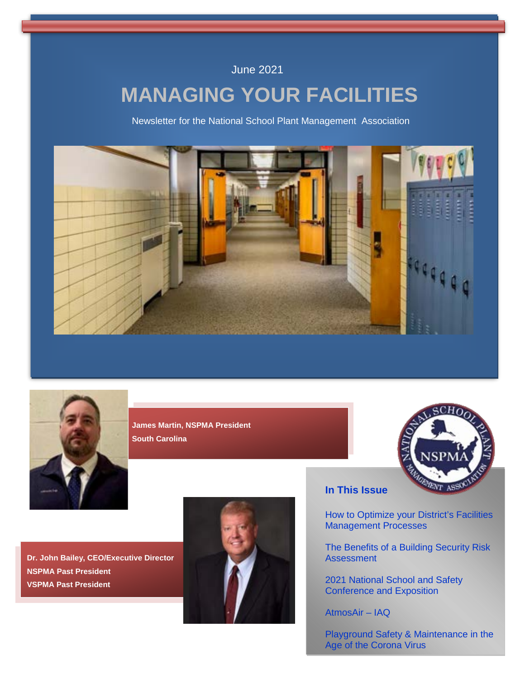### June 2021

# **MANAGING YOUR FACILITIES**

Newsletter for the National School Plant Management Association





**James Martin, NSPMA President South Carolina**



**Dr. John Bailey, CEO/Executive Director NSPMA Past President VSPMA Past President**



### **In This Issue**

How to Optimize your District's Facilities Management Processes

The Benefits of a Building Security Risk **Assessment** 

2021 National School and Safety Conference and Exposition

AtmosAir – IAQ

Playground Safety & Maintenance in the Age of the Corona Virus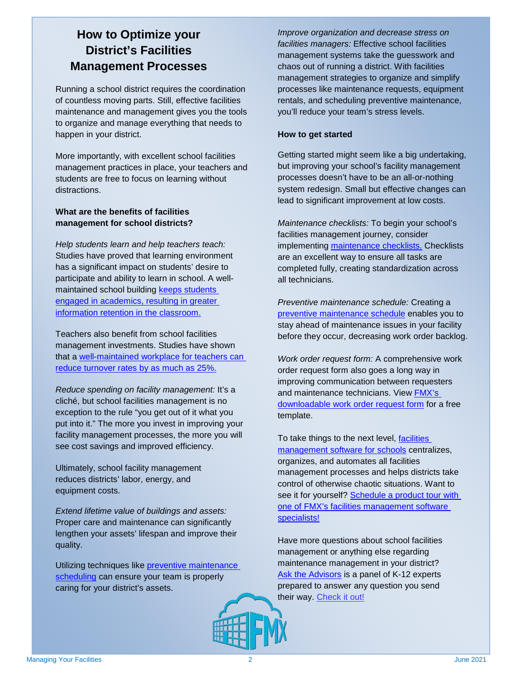## **How to Optimize your District's Facilities Management Processes**

Running a school district requires the coordination of countless moving parts. Still, effective facilities maintenance and management gives you the tools to organize and manage everything that needs to happen in your district.

More importantly, with excellent school facilities management practices in place, your teachers and students are free to focus on learning without distractions.

#### **What are the benefits of facilities management for school districts?**

*Help students learn and help teachers teach:* Studies have proved that learning environment has a significant impact on students' desire to participate and ability to learn in school. A wellmaintained school building [keeps students](https://www.theguardian.com/education/2002/jun/21/schools.uk#:%7E:text=The%20quality%20of%20school%20buildings,improve%20performance%2C%20the%20research%20found.)  [engaged in academics, resulting in greater](https://www.theguardian.com/education/2002/jun/21/schools.uk#:%7E:text=The%20quality%20of%20school%20buildings,improve%20performance%2C%20the%20research%20found.)  [information retention in the classroom.](https://www.theguardian.com/education/2002/jun/21/schools.uk#:%7E:text=The%20quality%20of%20school%20buildings,improve%20performance%2C%20the%20research%20found.)

Teachers also benefit from school facilities management investments. Studies have shown that a [well-maintained workplace for teachers can](https://research.steinhardt.nyu.edu/scmsAdmin/media/users/sg158/PDFs/schools_as_organizations/SchoolOrganizationalContexts_WorkingPaper.pdf)  reduce turnover rates by as much as 25%.

*Reduce spending on facility management:* It's a cliché, but school facilities management is no exception to the rule "you get out of it what you put into it." The more you invest in improving your facility management processes, the more you will see cost savings and improved efficiency.

Ultimately, school facility management reduces districts' labor, energy, and equipment costs.

*Extend lifetime value of buildings and assets:* Proper care and maintenance can significantly lengthen your assets' lifespan and improve their quality.

Utilizing techniques like preventive maintenance [scheduling](https://www.gofmx.com/blog/preventive-maintenance-schedule/?utm_source=newsletter&utm_medium=document&utm_campaign=NSPMA&utm_content=NSPMA%20May%202021%20Newsletter) can ensure your team is properly caring for your district's assets.

*Improve organization and decrease stress on facilities managers:* Effective school facilities management systems take the guesswork and chaos out of running a district. With facilities management strategies to organize and simplify processes like maintenance requests, equipment rentals, and scheduling preventive maintenance, you'll reduce your team's stress levels.

#### **How to get started**

Getting started might seem like a big undertaking, but improving your school's facility management processes doesn't have to be an all-or-nothing system redesign. Small but effective changes can lead to significant improvement at low costs.

*Maintenance checklists:* To begin your school's facilities management journey, consider implementing [maintenance checklists.](https://www.gofmx.com/blog/facilities-management-checklist/?utm_source=newsletter&utm_medium=document&utm_campaign=NSPMA&utm_content=NSPMA%20May%202021%20Newsletter) Checklists are an excellent way to ensure all tasks are completed fully, creating standardization across all technicians.

*Preventive maintenance schedule:* Creating a [preventive maintenance schedule](https://www.gofmx.com/blog/preventive-maintenance-schedule/?utm_source=newsletter&utm_medium=document&utm_campaign=NSPMA&utm_content=NSPMA%20May%202021%20Newsletter) enables you to stay ahead of maintenance issues in your facility before they occur, decreasing work order backlog.

*Work order request form:* A comprehensive work order request form also goes a long way in improving communication between requesters and maintenance technicians. View [FMX's](https://www.gofmx.com/blog/work-order-form-template/?utm_source=newsletter&utm_medium=document&utm_campaign=NSPMA&utm_content=NSPMA%20May%202021%20Newsletter)  [downloadable work order request form](https://www.gofmx.com/blog/work-order-form-template/?utm_source=newsletter&utm_medium=document&utm_campaign=NSPMA&utm_content=NSPMA%20May%202021%20Newsletter) for a free template.

To take things to the next level, [facilities](https://www.gofmx.com/solutions/industries/schools/?utm_source=newsletter&utm_medium=document&utm_campaign=NSPMA&utm_content=NSPMA%20May%202021%20Newsletter)  [management software for schools](https://www.gofmx.com/solutions/industries/schools/?utm_source=newsletter&utm_medium=document&utm_campaign=NSPMA&utm_content=NSPMA%20May%202021%20Newsletter) centralizes, organizes, and automates all facilities management processes and helps districts take control of otherwise chaotic situations. Want to see it for yourself? Schedule a product tour with [one of FMX's facilities management software](https://gofmx.appointlet.com/?utm_source=newsletter&utm_medium=document&utm_campaign=NSPMA&utm_content=NSPMA%20May%202021%20Newsletter)  [specialists!](https://gofmx.appointlet.com/?utm_source=newsletter&utm_medium=document&utm_campaign=NSPMA&utm_content=NSPMA%20May%202021%20Newsletter)

Have more questions about school facilities management or anything else regarding maintenance management in your district? [Ask the Advisors](https://www.gofmx.com/advisors/k12/?utm_source=newsletter&utm_medium=document&utm_campaign=NSPMA&utm_content=NSPMA%20May%202021%20Newsletter) is a panel of K-12 experts prepared to answer any question you send their way. [Check it out!](https://www.gofmx.com/advisors/k12/?utm_source=newsletter&utm_medium=document&utm_campaign=NSPMA&utm_content=NSPMA%20May%202021%20Newsletter)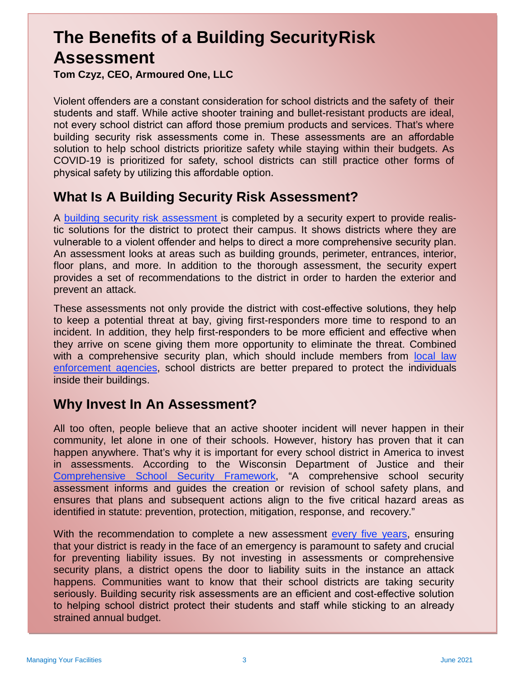# **The Benefits of a Building SecurityRisk Assessment**

**Tom Czyz, CEO, Armoured One, LLC**

Violent offenders are a constant consideration for school districts and the safety of their students and staff. While active shooter training and bullet-resistant products are ideal, not every school district can afford those premium products and services. That's where building security risk assessments come in. These assessments are an affordable solution to help school districts prioritize safety while staying within their budgets. As COVID-19 is prioritized for safety, school districts can still practice other forms of physical safety by utilizing this affordable option.

## **What Is A Building Security Risk Assessment?**

A building security risk assessment is completed by a security expert to provide realistic solutions for the district to protect their campus. It shows districts where they are vulnerable to a violent offender and helps to direct a more comprehensive security plan. An assessment looks at areas such as building grounds, perimeter, entrances, interior, floor plans, and more. In addition to the thorough assessment, the security expert provides a set of recommendations to the district in order to harden the exterior and prevent an attack.

These assessments not only provide the district with cost-effective solutions, they help to keep a potential threat at bay, giving first-responders more time to respond to an incident. In addition, they help first-responders to be more efficient and effective when they arrive on scene giving them more opportunity to eliminate the threat. Combined with a comprehensive security plan, which should include members from local law enforcement agencies, school districts are better prepared to protect the individuals inside their buildings.

# **Why Invest In An Assessment?**

All too often, people believe that an active shooter incident will never happen in their community, let alone in one of their schools. However, history has proven that it can happen anywhere. That's why it is important for every school district in America to invest in assessments. According to the Wisconsin Department of Justice and their Comprehensive School Security Framework, "A comprehensive school security assessment informs and guides the creation or revision of school safety plans, and ensures that plans and subsequent actions align to the five critical hazard areas as identified in statute: prevention, protection, mitigation, response, and recovery."

With the recommendation to complete a new assessment every five years, ensuring that your district is ready in the face of an emergency is paramount to safety and crucial for preventing liability issues. By not investing in assessments or comprehensive security plans, a district opens the door to liability suits in the instance an attack happens. Communities want to know that their school districts are taking security seriously. Building security risk assessments are an efficient and cost-effective solution to helping school district protect their students and staff while sticking to an already strained annual budget.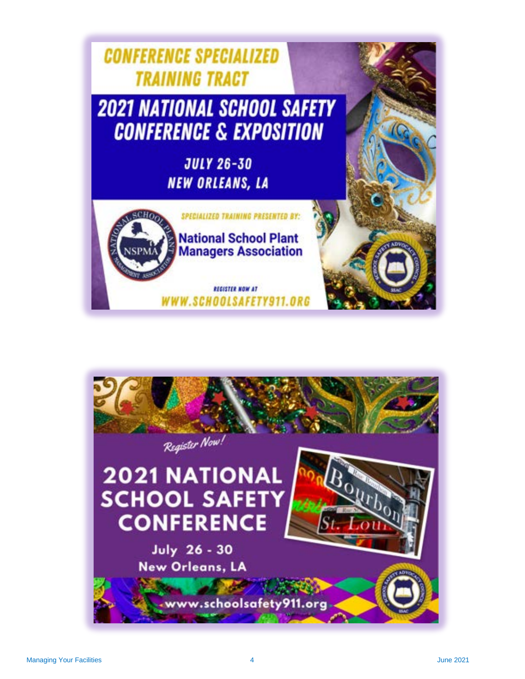

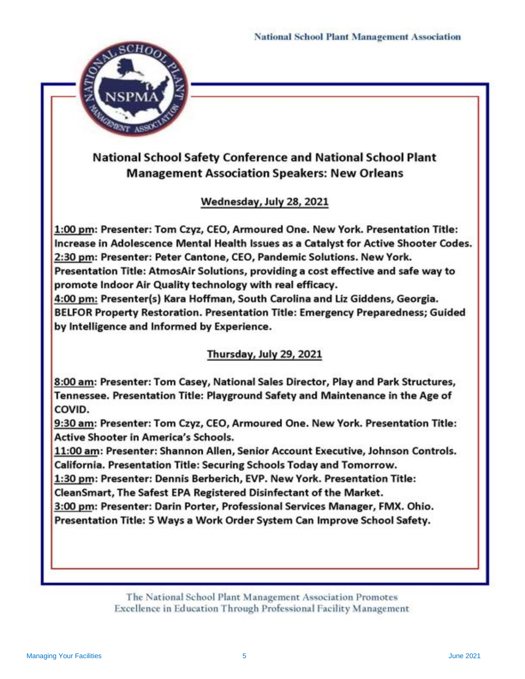

## **National School Safety Conference and National School Plant Management Association Speakers: New Orleans**

### Wednesday, July 28, 2021

1:00 pm: Presenter: Tom Czyz, CEO, Armoured One. New York. Presentation Title: Increase in Adolescence Mental Health Issues as a Catalyst for Active Shooter Codes. 2:30 pm: Presenter: Peter Cantone, CEO, Pandemic Solutions. New York. Presentation Title: AtmosAir Solutions, providing a cost effective and safe way to promote Indoor Air Quality technology with real efficacy.

4:00 pm: Presenter(s) Kara Hoffman, South Carolina and Liz Giddens, Georgia. BELFOR Property Restoration. Presentation Title: Emergency Preparedness; Guided by Intelligence and Informed by Experience.

### Thursday, July 29, 2021

8:00 am: Presenter: Tom Casey, National Sales Director, Play and Park Structures, Tennessee. Presentation Title: Playground Safety and Maintenance in the Age of COVID.

9:30 am: Presenter: Tom Czyz, CEO, Armoured One. New York. Presentation Title: **Active Shooter in America's Schools.** 

11:00 am: Presenter: Shannon Allen, Senior Account Executive, Johnson Controls. California. Presentation Title: Securing Schools Today and Tomorrow.

1:30 pm: Presenter: Dennis Berberich, EVP. New York. Presentation Title:

CleanSmart, The Safest EPA Registered Disinfectant of the Market.

3:00 pm: Presenter: Darin Porter, Professional Services Manager, FMX. Ohio.

Presentation Title: 5 Ways a Work Order System Can Improve School Safety.

The National School Plant Management Association Promotes Excellence in Education Through Professional Facility Management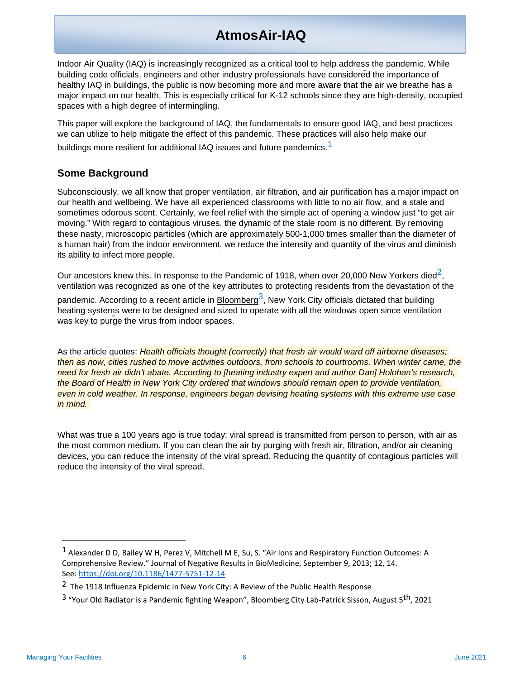# **AtmosAir-IAQ**

Indoor Air Quality (IAQ) is increasingly recognized as a critical tool to help address the pandemic. While building code officials, engineers and other industry professionals have considered the importance of healthy IAQ in buildings, the public is now becoming more and more aware that the air we breathe has a major impact on our health. This is especially critical for K-12 schools since they are high-density, occupied spaces with a high degree of intermingling.

This paper will explore the background of IAQ, the fundamentals to ensure good IAQ, and best practices we can utilize to help mitigate the effect of this pandemic. These practices will also help make our buildings more resilient for additional IAQ issues and future pandemics.<sup>1</sup>

#### **Some Background**

Subconsciously, we all know that proper ventilation, air filtration, and air purification has a major impact on our health and wellbeing. We have all experienced classrooms with little to no air flow, and a stale and sometimes odorous scent. Certainly, we feel relief with the simple act of opening a window just "to get air moving." With regard to contagious viruses, the dynamic of the stale room is no different. By removing these nasty, microscopic particles (which are approximately 500-1,000 times smaller than the diameter of a human hair) from the indoor environment, we reduce the intensity and quantity of the virus and diminish its ability to infect more people.

Our ancestors knew this. In response to the Pandemic of 1918, when over 20,000 New Yorkers died<sup>2</sup>, ventilation was recognized as one of the key attributes to protecting residents from the devastation of the pandemic. According to a recent article in Bloomberg<sup>3</sup>, New York City officials dictated that building heating systems were to be designed and sized to operate with all the windows open since ventilation was key to purge the virus from indoor spaces.

As the article quotes: *Health officials thought (correctly) that fresh air would ward off airborne diseases; then as now, cities rushed to move activities outdoors, from schools to courtrooms. When winter came, the need for fresh air didn't abate. According to [heating industry expert and author Dan] Holohan's research, the Board of Health in New York City ordered that windows should remain open to provide ventilation, even in cold weather. In response, engineers began devising heating systems with this extreme use case in mind.* 

What was true a 100 years ago is true today: viral spread is transmitted from person to person, with air as the most common medium. If you can clean the air by purging with fresh air, filtration, and/or air cleaning devices, you can reduce the intensity of the viral spread. Reducing the quantity of contagious particles will reduce the intensity of the viral spread.

<sup>1</sup> Alexander D D, Bailey W H, Perez V, Mitchell M E, Su, S. "Air Ions and Respiratory Function Outcomes: A Comprehensive Review." Journal of Negative Results in BioMedicine, September 9, 2013; 12, 14. See: https://doi.org/10.1186/1477-5751-12-14

<sup>&</sup>lt;sup>2</sup> The 1918 Influenza Epidemic in New York City: A Review of the Public Health Response

 $3$  "Your Old Radiator is a Pandemic fighting Weapon", Bloomberg City Lab-Patrick Sisson, August  $5^{th}$ , 2021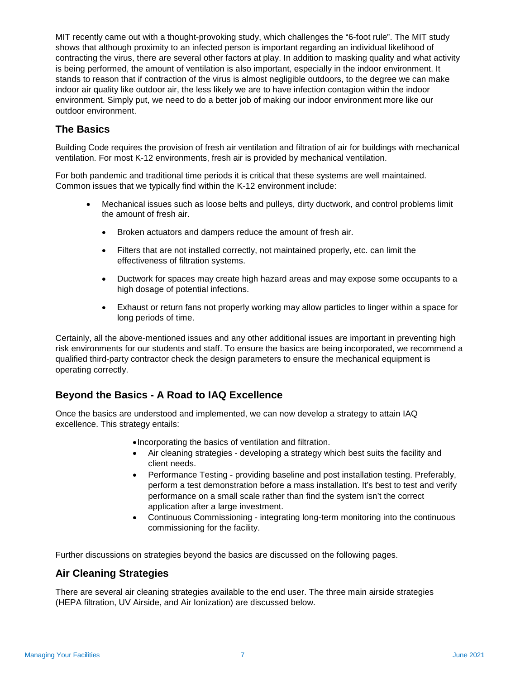MIT recently came out with a thought-provoking study, which challenges the "6-foot rule". The MIT study shows that although proximity to an infected person is important regarding an individual likelihood of contracting the virus, there are several other factors at play. In addition to masking quality and what activity is being performed, the amount of ventilation is also important, especially in the indoor environment. It stands to reason that if contraction of the virus is almost negligible outdoors, to the degree we can make indoor air quality like outdoor air, the less likely we are to have infection contagion within the indoor environment. Simply put, we need to do a better job of making our indoor environment more like our outdoor environment.

#### **The Basics**

Building Code requires the provision of fresh air ventilation and filtration of air for buildings with mechanical ventilation. For most K-12 environments, fresh air is provided by mechanical ventilation.

For both pandemic and traditional time periods it is critical that these systems are well maintained. Common issues that we typically find within the K-12 environment include:

- Mechanical issues such as loose belts and pulleys, dirty ductwork, and control problems limit the amount of fresh air.
	- Broken actuators and dampers reduce the amount of fresh air.
	- Filters that are not installed correctly, not maintained properly, etc. can limit the effectiveness of filtration systems.
	- Ductwork for spaces may create high hazard areas and may expose some occupants to a high dosage of potential infections.
	- Exhaust or return fans not properly working may allow particles to linger within a space for long periods of time.

Certainly, all the above-mentioned issues and any other additional issues are important in preventing high risk environments for our students and staff. To ensure the basics are being incorporated, we recommend a qualified third-party contractor check the design parameters to ensure the mechanical equipment is operating correctly.

#### **Beyond the Basics - A Road to IAQ Excellence**

Once the basics are understood and implemented, we can now develop a strategy to attain IAQ excellence. This strategy entails:

- •Incorporating the basics of ventilation and filtration.
- Air cleaning strategies developing a strategy which best suits the facility and client needs.
- Performance Testing providing baseline and post installation testing. Preferably, perform a test demonstration before a mass installation. It's best to test and verify performance on a small scale rather than find the system isn't the correct application after a large investment.
- Continuous Commissioning integrating long-term monitoring into the continuous commissioning for the facility.

Further discussions on strategies beyond the basics are discussed on the following pages.

#### **Air Cleaning Strategies**

There are several air cleaning strategies available to the end user. The three main airside strategies (HEPA filtration, UV Airside, and Air Ionization) are discussed below.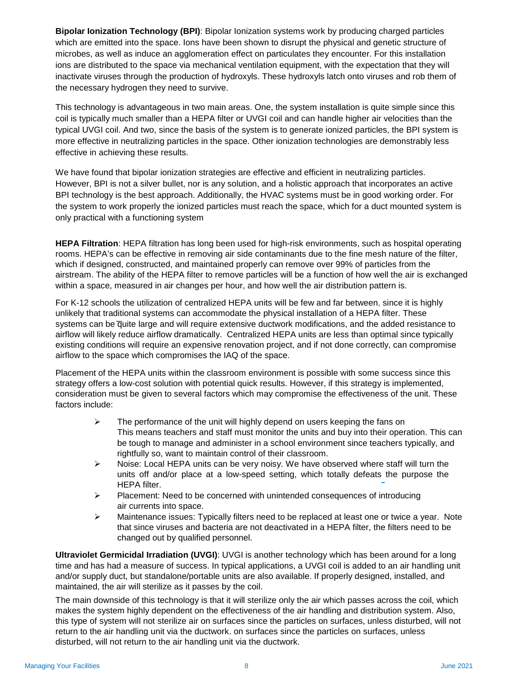**Bipolar Ionization Technology (BPI)**: Bipolar Ionization systems work by producing charged particles which are emitted into the space. Ions have been shown to disrupt the physical and genetic structure of microbes, as well as induce an agglomeration effect on particulates they encounter. For this installation ions are distributed to the space via mechanical ventilation equipment, with the expectation that they will inactivate viruses through the production of hydroxyls. These hydroxyls latch onto viruses and rob them of the necessary hydrogen they need to survive.

This technology is advantageous in two main areas. One, the system installation is quite simple since this coil is typically much smaller than a HEPA filter or UVGI coil and can handle higher air velocities than the typical UVGI coil. And two, since the basis of the system is to generate ionized particles, the BPI system is more effective in neutralizing particles in the space. Other ionization technologies are demonstrably less effective in achieving these results.

We have found that bipolar ionization strategies are effective and efficient in neutralizing particles. However, BPI is not a silver bullet, nor is any solution, and a holistic approach that incorporates an active BPI technology is the best approach. Additionally, the HVAC systems must be in good working order. For the system to work properly the ionized particles must reach the space, which for a duct mounted system is only practical with a functioning system

**HEPA Filtration**: HEPA filtration has long been used for high-risk environments, such as hospital operating rooms. HEPA's can be effective in removing air side contaminants due to the fine mesh nature of the filter, which if designed, constructed, and maintained properly can remove over 99% of particles from the airstream. The ability of the HEPA filter to remove particles will be a function of how well the air is exchanged within a space, measured in air changes per hour, and how well the air distribution pattern is.

For K-12 schools the utilization of centralized HEPA units will be few and far between, since it is highly unlikely that traditional systems can accommodate the physical installation of a HEPA filter. These systems can be quite large and will require extensive ductwork modifications, and the added resistance to airflow will likely reduce airflow dramatically. Centralized HEPA units are less than optimal since typically existing conditions will require an expensive renovation project, and if not done correctly, can compromise airflow to the space which compromises the IAQ of the space.

Placement of the HEPA units within the classroom environment is possible with some success since this strategy offers a low-cost solution with potential quick results. However, if this strategy is implemented, consideration must be given to several factors which may compromise the effectiveness of the unit. These factors include:

- $\triangleright$  The performance of the unit will highly depend on users keeping the fans on This means teachers and staff must monitor the units and buy into their operation. This can be tough to manage and administer in a school environment since teachers typically, and rightfully so, want to maintain control of their classroom.
- $\triangleright$  Noise: Local HEPA units can be very noisy. We have observed where staff will turn the units off and/or place at a low-speed setting, which totally defeats the purpose the HEPA filter.
- $\triangleright$  Placement: Need to be concerned with unintended consequences of introducing air currents into space.
- $\triangleright$  Maintenance issues: Typically filters need to be replaced at least one or twice a year. Note that since viruses and bacteria are not deactivated in a HEPA filter, the filters need to be changed out by qualified personnel.

**Ultraviolet Germicidal Irradiation (UVGI)**: UVGI is another technology which has been around for a long time and has had a measure of success. In typical applications, a UVGI coil is added to an air handling unit and/or supply duct, but standalone/portable units are also available. If properly designed, installed, and maintained, the air will sterilize as it passes by the coil.

The main downside of this technology is that it will sterilize only the air which passes across the coil, which makes the system highly dependent on the effectiveness of the air handling and distribution system. Also, this type of system will not sterilize air on surfaces since the particles on surfaces, unless disturbed, will not return to the air handling unit via the ductwork. on surfaces since the particles on surfaces, unless disturbed, will not return to the air handling unit via the ductwork.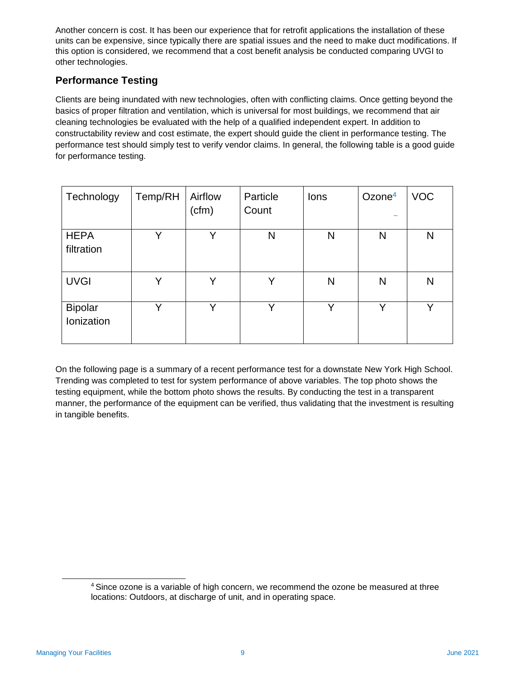Another concern is cost. It has been our experience that for retrofit applications the installation of these units can be expensive, since typically there are spatial issues and the need to make duct modifications. If this option is considered, we recommend that a cost benefit analysis be conducted comparing UVGI to other technologies.

### **Performance Testing**

Clients are being inundated with new technologies, often with conflicting claims. Once getting beyond the basics of proper filtration and ventilation, which is universal for most buildings, we recommend that air cleaning technologies be evaluated with the help of a qualified independent expert. In addition to constructability review and cost estimate, the expert should guide the client in performance testing. The performance test should simply test to verify vendor claims. In general, the following table is a good guide for performance testing.

| Technology                   | Temp/RH      | Airflow<br>(cfm) | Particle<br>Count | lons         | Ozone $4$ | <b>VOC</b>   |
|------------------------------|--------------|------------------|-------------------|--------------|-----------|--------------|
| <b>HEPA</b><br>filtration    | v            | v                | N                 | N            | N         | N            |
| <b>UVGI</b>                  | Υ            | Υ                | Y                 | N            | N         | N            |
| <b>Bipolar</b><br>Ionization | $\checkmark$ | v                | v                 | $\checkmark$ | v         | $\checkmark$ |

On the following page is a summary of a recent performance test for a downstate New York High School. Trending was completed to test for system performance of above variables. The top photo shows the testing equipment, while the bottom photo shows the results. By conducting the test in a transparent manner, the performance of the equipment can be verified, thus validating that the investment is resulting in tangible benefits.

<sup>4</sup> Since ozone is a variable of high concern, we recommend the ozone be measured at three locations: Outdoors, at discharge of unit, and in operating space.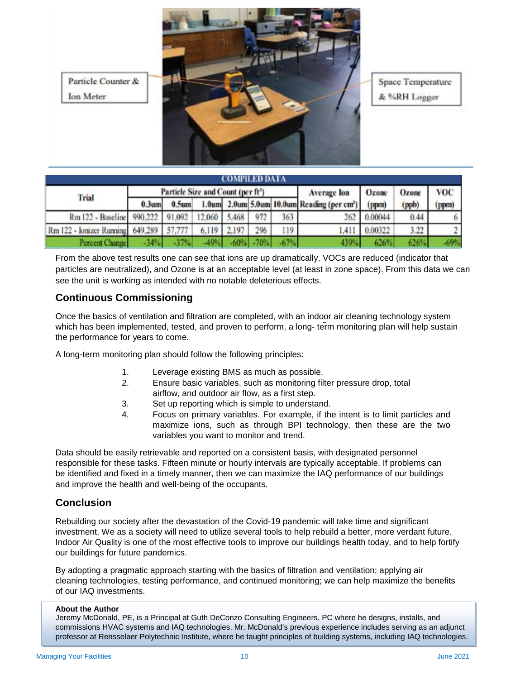

Space Temperature & %RH Logger

| COMPILED DATA                    |                                                |          |        |       |              |                    |                                                         |         |            |        |  |  |
|----------------------------------|------------------------------------------------|----------|--------|-------|--------------|--------------------|---------------------------------------------------------|---------|------------|--------|--|--|
| Trial                            | Particle Size and Count (per ft <sup>3</sup> ) |          |        |       |              | <b>Average</b> lon | Ozone                                                   | Ozone   | <b>VOC</b> |        |  |  |
|                                  | $0.3$ um                                       | $0.5$ um |        |       |              |                    | 1.0um 2.0um 5.0um 10.0um Reading (per cm <sup>3</sup> ) | (ppm)   | (ppb)      | (ppm)  |  |  |
| Rm 122 - Baseline 990,222 91,092 |                                                |          | 12,060 | 5.468 | 972          | 363                | 262                                                     | 0.00044 | 0.44       |        |  |  |
| Rm 122 - Ionizer Running 649,289 |                                                | 57,777   | 6,119  | 2.197 | 296          | 119                | 1,411                                                   | 0.00322 | 3.22       |        |  |  |
| Percent Change                   | $-1490$                                        | $-37%$   | $-49%$ |       | $-60% - 70%$ | $-67%$             | 439%                                                    | 626%    | 626%       | $-69%$ |  |  |

From the above test results one can see that ions are up dramatically, VOCs are reduced (indicator that particles are neutralized), and Ozone is at an acceptable level (at least in zone space). From this data we can see the unit is working as intended with no notable deleterious effects.

#### **Continuous Commissioning**

Once the basics of ventilation and filtration are completed, with an indoor air cleaning technology system which has been implemented, tested, and proven to perform, a long- term monitoring plan will help sustain the performance for years to come.

A long-term monitoring plan should follow the following principles:

- 1. Leverage existing BMS as much as possible.
- 2. Ensure basic variables, such as monitoring filter pressure drop, total airflow, and outdoor air flow, as a first step.
- 3. Set up reporting which is simple to understand.
- 4. Focus on primary variables. For example, if the intent is to limit particles and maximize ions, such as through BPI technology, then these are the two variables you want to monitor and trend.

Data should be easily retrievable and reported on a consistent basis, with designated personnel responsible for these tasks. Fifteen minute or hourly intervals are typically acceptable. If problems can be identified and fixed in a timely manner, then we can maximize the IAQ performance of our buildings and improve the health and well-being of the occupants.

#### **Conclusion**

Rebuilding our society after the devastation of the Covid-19 pandemic will take time and significant investment. We as a society will need to utilize several tools to help rebuild a better, more verdant future. Indoor Air Quality is one of the most effective tools to improve our buildings health today, and to help fortify our buildings for future pandemics.

By adopting a pragmatic approach starting with the basics of filtration and ventilation; applying air cleaning technologies, testing performance, and continued monitoring; we can help maximize the benefits of our IAQ investments.

#### **About the Author**

Jeremy McDonald, PE, is a Principal at Guth DeConzo Consulting Engineers, PC where he designs, installs, and commissions HVAC systems and IAQ technologies. Mr. McDonald's previous experience includes serving as an adjunct professor at Rensselaer Polytechnic Institute, where he taught principles of building systems, including IAQ technologies.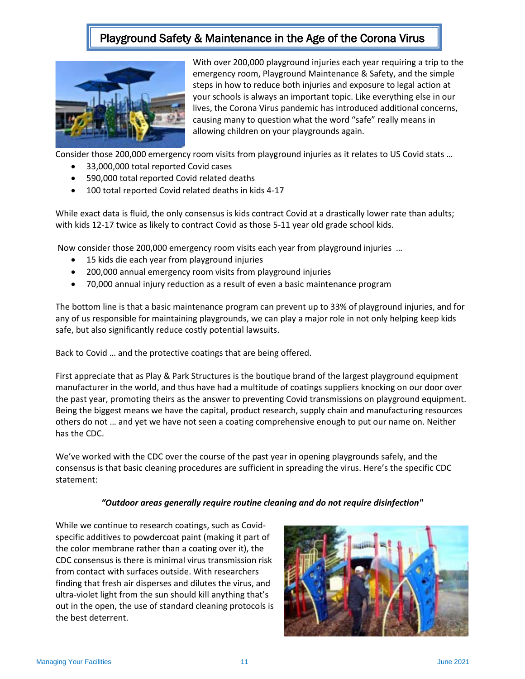### Playground Safety & Maintenance in the Age of the Corona Virus



With over 200,000 playground injuries each year requiring a trip to the emergency room, Playground Maintenance & Safety, and the simple steps in how to reduce both injuries and exposure to legal action at your schools is always an important topic. Like everything else in our lives, the Corona Virus pandemic has introduced additional concerns, causing many to question what the word "safe" really means in allowing children on your playgrounds again.

Consider those 200,000 emergency room visits from playground injuries as it relates to US Covid stats …

- 33,000,000 total reported Covid cases
- 590,000 total reported Covid related deaths
- 100 total reported Covid related deaths in kids 4-17

While exact data is fluid, the only consensus is kids contract Covid at a drastically lower rate than adults; with kids 12-17 twice as likely to contract Covid as those 5-11 year old grade school kids.

Now consider those 200,000 emergency room visits each year from playground injuries …

- 15 kids die each year from playground injuries
- 200,000 annual emergency room visits from playground injuries
- 70,000 annual injury reduction as a result of even a basic maintenance program

The bottom line is that a basic maintenance program can prevent up to 33% of playground injuries, and for any of us responsible for maintaining playgrounds, we can play a major role in not only helping keep kids safe, but also significantly reduce costly potential lawsuits.

Back to Covid … and the protective coatings that are being offered.

First appreciate that as Play & Park Structures is the boutique brand of the largest playground equipment manufacturer in the world, and thus have had a multitude of coatings suppliers knocking on our door over the past year, promoting theirs as the answer to preventing Covid transmissions on playground equipment. Being the biggest means we have the capital, product research, supply chain and manufacturing resources others do not … and yet we have not seen a coating comprehensive enough to put our name on. Neither has the CDC.

We've worked with the CDC over the course of the past year in opening playgrounds safely, and the consensus is that basic cleaning procedures are sufficient in spreading the virus. Here's the specific CDC statement:

#### *"Outdoor areas generally require routine cleaning and do not require disinfection"*

While we continue to research coatings, such as Covidspecific additives to powdercoat paint (making it part of the color membrane rather than a coating over it), the CDC consensus is there is minimal virus transmission risk from contact with surfaces outside. With researchers finding that fresh air disperses and dilutes the virus, and ultra-violet light from the sun should kill anything that's out in the open, the use of standard cleaning protocols is the best deterrent.

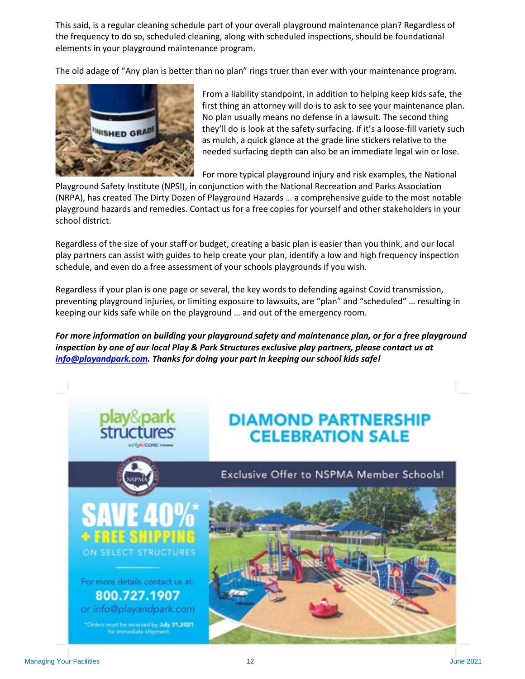This said, is a regular cleaning schedule part of your overall playground maintenance plan? Regardless of the frequency to do so, scheduled cleaning, along with scheduled inspections, should be foundational elements in your playground maintenance program.

The old adage of "Any plan is better than no plan" rings truer than ever with your maintenance program.



From a liability standpoint, in addition to helping keep kids safe, the first thing an attorney will do is to ask to see your maintenance plan. No plan usually means no defense in a lawsuit. The second thing they'll do is look at the safety surfacing. If it's a loose-fill variety such as mulch, a quick glance at the grade line stickers relative to the needed surfacing depth can also be an immediate legal win or lose.

For more typical playground injury and risk examples, the National

Playground Safety Institute (NPSI), in conjunction with the National Recreation and Parks Association (NRPA), has created The Dirty Dozen of Playground Hazards … a comprehensive guide to the most notable playground hazards and remedies. Contact us for a free copies for yourself and other stakeholders in your school district.

Regardless of the size of your staff or budget, creating a basic plan is easier than you think, and our local play partners can assist with guides to help create your plan, identify a low and high frequency inspection schedule, and even do a free assessment of your schools playgrounds if you wish.

Regardless if your plan is one page or several, the key words to defending against Covid transmission, preventing playground injuries, or limiting exposure to lawsuits, are "plan" and "scheduled" … resulting in keeping our kids safe while on the playground … and out of the emergency room.

*For more information on building your playground safety and maintenance plan, or for a free playground inspection by one of our local Play & Park Structures exclusive play partners, please contact us at [info@playandpark.com.](mailto:info@playandpark.com) Thanks for doing your part in keeping our school kids safe!*

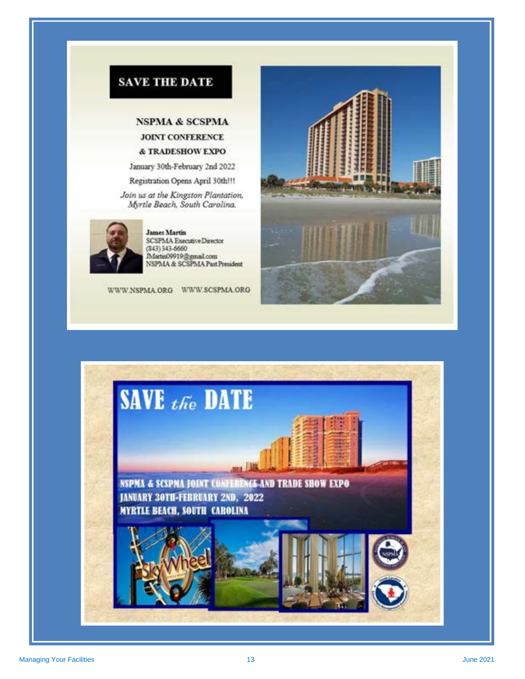

### **NSPMA & SCSPMA** JOINT CONFERENCE & TRADESHOW EXPO

January 30th-February 2nd 2022

Registration Opens April 30th!!!

Join us at the Kingston Plantation, Myrtle Beach, South Carolina.



**James Martin** SCSPMA Executive Director<br>(343) 343-6660 Martin09919@gmail.com<br>NSPMA & SCSPMA Past President

WWW.NSPMA.ORG WWW.SCSPMA.ORG